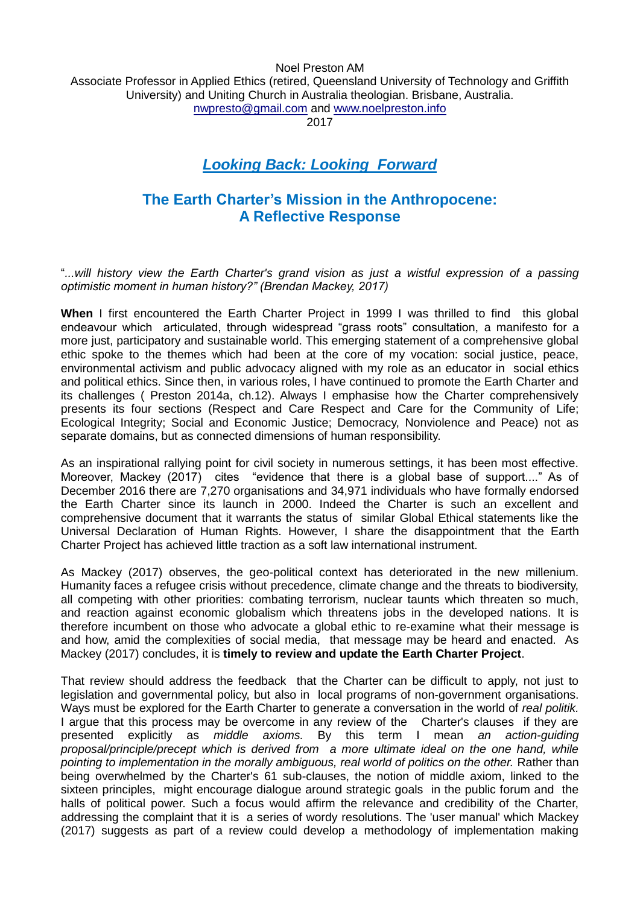Noel Preston AM Associate Professor in Applied Ethics (retired, Queensland University of Technology and Griffith University) and Uniting Church in Australia theologian. Brisbane, Australia. [nwpresto@gmail.com](mailto:nwpresto@gmail.com) and [www.noelpreston.info](http://www.noelpreston.info/)

2017

## *Looking Back: Looking Forward*

## **The Earth Charter's Mission in the Anthropocene: A Reflective Response**

"*...will history view the Earth Charter's grand vision as just a wistful expression of a passing optimistic moment in human history?" (Brendan Mackey, 2017)* 

**When** I first encountered the Earth Charter Project in 1999 I was thrilled to find this global endeavour which articulated, through widespread "grass roots" consultation, a manifesto for a more just, participatory and sustainable world. This emerging statement of a comprehensive global ethic spoke to the themes which had been at the core of my vocation: social justice, peace, environmental activism and public advocacy aligned with my role as an educator in social ethics and political ethics. Since then, in various roles, I have continued to promote the Earth Charter and its challenges ( Preston 2014a, ch.12). Always I emphasise how the Charter comprehensively presents its four sections (Respect and Care Respect and Care for the Community of Life; Ecological Integrity; Social and Economic Justice; Democracy, Nonviolence and Peace) not as separate domains, but as connected dimensions of human responsibility.

As an inspirational rallying point for civil society in numerous settings, it has been most effective. Moreover, Mackey (2017) cites "evidence that there is a global base of support...." As of December 2016 there are 7,270 organisations and 34,971 individuals who have formally endorsed the Earth Charter since its launch in 2000. Indeed the Charter is such an excellent and comprehensive document that it warrants the status of similar Global Ethical statements like the Universal Declaration of Human Rights. However, I share the disappointment that the Earth Charter Project has achieved little traction as a soft law international instrument.

As Mackey (2017) observes, the geo-political context has deteriorated in the new millenium. Humanity faces a refugee crisis without precedence, climate change and the threats to biodiversity, all competing with other priorities: combating terrorism, nuclear taunts which threaten so much, and reaction against economic globalism which threatens jobs in the developed nations. It is therefore incumbent on those who advocate a global ethic to re-examine what their message is and how, amid the complexities of social media, that message may be heard and enacted. As Mackey (2017) concludes, it is **timely to review and update the Earth Charter Project**.

That review should address the feedback that the Charter can be difficult to apply, not just to legislation and governmental policy, but also in local programs of non-government organisations. Ways must be explored for the Earth Charter to generate a conversation in the world of *real politik.*  I argue that this process may be overcome in any review of the Charter's clauses if they are presented explicitly as *middle axioms.* By this term I mean *an action-guiding proposal/principle/precept which is derived from a more ultimate ideal on the one hand, while pointing to implementation in the morally ambiguous, real world of politics on the other.* Rather than being overwhelmed by the Charter's 61 sub-clauses, the notion of middle axiom, linked to the sixteen principles, might encourage dialogue around strategic goals in the public forum and the halls of political power. Such a focus would affirm the relevance and credibility of the Charter, addressing the complaint that it is a series of wordy resolutions. The 'user manual' which Mackey (2017) suggests as part of a review could develop a methodology of implementation making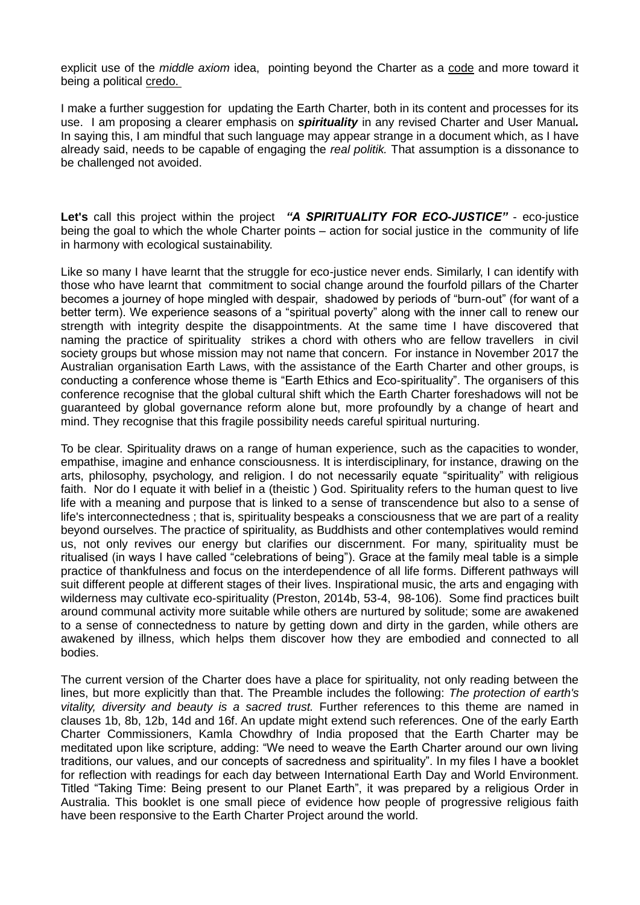explicit use of the *middle axiom* idea, pointing beyond the Charter as a code and more toward it being a political credo.

I make a further suggestion for updating the Earth Charter, both in its content and processes for its use. I am proposing a clearer emphasis on *spirituality* in any revised Charter and User Manual*.*  In saying this, I am mindful that such language may appear strange in a document which, as I have already said, needs to be capable of engaging the *real politik.* That assumption is a dissonance to be challenged not avoided.

**Let's** call this project within the project *"A SPIRITUALITY FOR ECO-JUSTICE"* - eco-justice being the goal to which the whole Charter points – action for social justice in the community of life in harmony with ecological sustainability.

Like so many I have learnt that the struggle for eco-justice never ends. Similarly, I can identify with those who have learnt that commitment to social change around the fourfold pillars of the Charter becomes a journey of hope mingled with despair, shadowed by periods of "burn-out" (for want of a better term). We experience seasons of a "spiritual poverty" along with the inner call to renew our strength with integrity despite the disappointments. At the same time I have discovered that naming the practice of spirituality strikes a chord with others who are fellow travellers in civil society groups but whose mission may not name that concern. For instance in November 2017 the Australian organisation Earth Laws, with the assistance of the Earth Charter and other groups, is conducting a conference whose theme is "Earth Ethics and Eco-spirituality". The organisers of this conference recognise that the global cultural shift which the Earth Charter foreshadows will not be guaranteed by global governance reform alone but, more profoundly by a change of heart and mind. They recognise that this fragile possibility needs careful spiritual nurturing.

To be clear. Spirituality draws on a range of human experience, such as the capacities to wonder, empathise, imagine and enhance consciousness. It is interdisciplinary, for instance, drawing on the arts, philosophy, psychology, and religion. I do not necessarily equate "spirituality" with religious faith. Nor do I equate it with belief in a (theistic ) God. Spirituality refers to the human quest to live life with a meaning and purpose that is linked to a sense of transcendence but also to a sense of life's interconnectedness ; that is, spirituality bespeaks a consciousness that we are part of a reality beyond ourselves. The practice of spirituality, as Buddhists and other contemplatives would remind us, not only revives our energy but clarifies our discernment. For many, spirituality must be ritualised (in ways I have called "celebrations of being"). Grace at the family meal table is a simple practice of thankfulness and focus on the interdependence of all life forms. Different pathways will suit different people at different stages of their lives. Inspirational music, the arts and engaging with wilderness may cultivate eco-spirituality (Preston, 2014b, 53-4, 98-106). Some find practices built around communal activity more suitable while others are nurtured by solitude; some are awakened to a sense of connectedness to nature by getting down and dirty in the garden, while others are awakened by illness, which helps them discover how they are embodied and connected to all bodies.

The current version of the Charter does have a place for spirituality, not only reading between the lines, but more explicitly than that. The Preamble includes the following: *The protection of earth's vitality, diversity and beauty is a sacred trust.* Further references to this theme are named in clauses 1b, 8b, 12b, 14d and 16f. An update might extend such references. One of the early Earth Charter Commissioners, Kamla Chowdhry of India proposed that the Earth Charter may be meditated upon like scripture, adding: "We need to weave the Earth Charter around our own living traditions, our values, and our concepts of sacredness and spirituality". In my files I have a booklet for reflection with readings for each day between International Earth Day and World Environment. Titled "Taking Time: Being present to our Planet Earth", it was prepared by a religious Order in Australia. This booklet is one small piece of evidence how people of progressive religious faith have been responsive to the Earth Charter Project around the world.